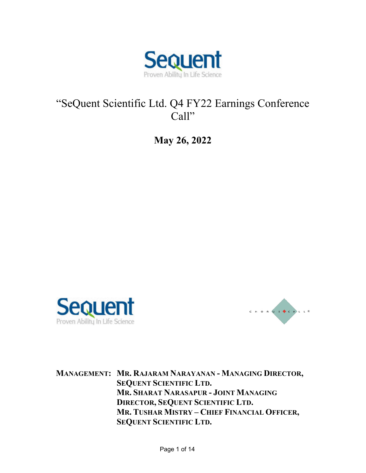

# "SeQuent Scientific Ltd. Q4 FY22 Earnings Conference Call"

**May 26, 2022** 





**MANAGEMENT: MR. RAJARAM NARAYANAN - MANAGING DIRECTOR, SEQUENT SCIENTIFIC LTD. MR. SHARAT NARASAPUR - JOINT MANAGING DIRECTOR, SEQUENT SCIENTIFIC LTD. MR. TUSHAR MISTRY – CHIEF FINANCIAL OFFICER, SEQUENT SCIENTIFIC LTD.**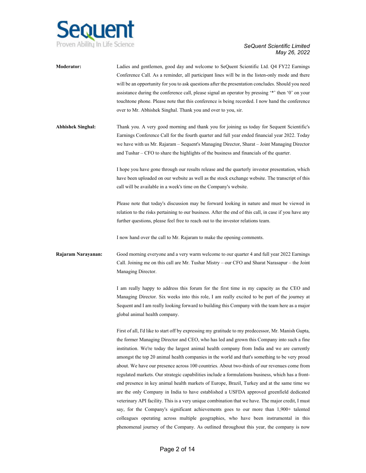

# *May 26, 2022*

| Moderator:               | Ladies and gentlemen, good day and welcome to SeQuent Scientific Ltd. Q4 FY22 Earnings<br>Conference Call. As a reminder, all participant lines will be in the listen-only mode and there<br>will be an opportunity for you to ask questions after the presentation concludes. Should you need<br>assistance during the conference call, please signal an operator by pressing '*' then '0' on your<br>touchtone phone. Please note that this conference is being recorded. I now hand the conference<br>over to Mr. Abhishek Singhal. Thank you and over to you, sir.                                                                                                                                                                                                                                                                                                                                                                                                                                                                                                                                                                                                          |
|--------------------------|---------------------------------------------------------------------------------------------------------------------------------------------------------------------------------------------------------------------------------------------------------------------------------------------------------------------------------------------------------------------------------------------------------------------------------------------------------------------------------------------------------------------------------------------------------------------------------------------------------------------------------------------------------------------------------------------------------------------------------------------------------------------------------------------------------------------------------------------------------------------------------------------------------------------------------------------------------------------------------------------------------------------------------------------------------------------------------------------------------------------------------------------------------------------------------|
| <b>Abhishek Singhal:</b> | Thank you. A very good morning and thank you for joining us today for Sequent Scientific's<br>Earnings Conference Call for the fourth quarter and full year ended financial year 2022. Today<br>we have with us Mr. Rajaram - Sequent's Managing Director, Sharat - Joint Managing Director<br>and Tushar – CFO to share the highlights of the business and financials of the quarter.                                                                                                                                                                                                                                                                                                                                                                                                                                                                                                                                                                                                                                                                                                                                                                                          |
|                          | I hope you have gone through our results release and the quarterly investor presentation, which<br>have been uploaded on our website as well as the stock exchange website. The transcript of this<br>call will be available in a week's time on the Company's website.                                                                                                                                                                                                                                                                                                                                                                                                                                                                                                                                                                                                                                                                                                                                                                                                                                                                                                         |
|                          | Please note that today's discussion may be forward looking in nature and must be viewed in<br>relation to the risks pertaining to our business. After the end of this call, in case if you have any<br>further questions, please feel free to reach out to the investor relations team.                                                                                                                                                                                                                                                                                                                                                                                                                                                                                                                                                                                                                                                                                                                                                                                                                                                                                         |
|                          | I now hand over the call to Mr. Rajaram to make the opening comments.                                                                                                                                                                                                                                                                                                                                                                                                                                                                                                                                                                                                                                                                                                                                                                                                                                                                                                                                                                                                                                                                                                           |
| Rajaram Narayanan:       | Good morning everyone and a very warm welcome to our quarter 4 and full year 2022 Earnings<br>Call. Joining me on this call are Mr. Tushar Mistry – our CFO and Sharat Narasapur – the Joint<br>Managing Director.                                                                                                                                                                                                                                                                                                                                                                                                                                                                                                                                                                                                                                                                                                                                                                                                                                                                                                                                                              |
|                          | I am really happy to address this forum for the first time in my capacity as the CEO and<br>Managing Director. Six weeks into this role, I am really excited to be part of the journey at<br>Sequent and I am really looking forward to building this Company with the team here as a major<br>global animal health company.                                                                                                                                                                                                                                                                                                                                                                                                                                                                                                                                                                                                                                                                                                                                                                                                                                                    |
|                          | First of all, I'd like to start off by expressing my gratitude to my predecessor, Mr. Manish Gupta,<br>the former Managing Director and CEO, who has led and grown this Company into such a fine<br>institution. We're today the largest animal health company from India and we are currently<br>amongst the top 20 animal health companies in the world and that's something to be very proud<br>about. We have our presence across 100 countries. About two-thirds of our revenues come from<br>regulated markets. Our strategic capabilities include a formulations business, which has a front-<br>end presence in key animal health markets of Europe, Brazil, Turkey and at the same time we<br>are the only Company in India to have established a USFDA approved greenfield dedicated<br>veterinary API facility. This is a very unique combination that we have. The major credit, I must<br>say, for the Company's significant achievements goes to our more than 1,900+ talented<br>colleagues operating across multiple geographies, who have been instrumental in this<br>phenomenal journey of the Company. As outlined throughout this year, the company is now |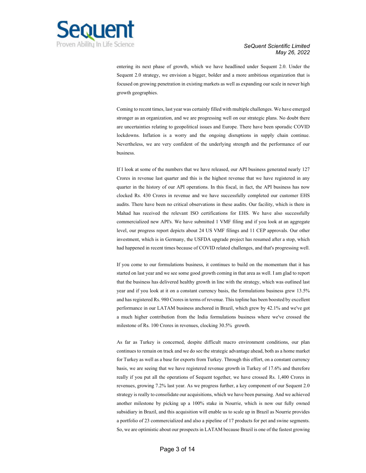

entering its next phase of growth, which we have headlined under Sequent 2.0. Under the Sequent 2.0 strategy, we envision a bigger, bolder and a more ambitious organization that is focused on growing penetration in existing markets as well as expanding our scale in newer high growth geographies.

Coming to recent times, last year was certainly filled with multiple challenges. We have emerged stronger as an organization, and we are progressing well on our strategic plans. No doubt there are uncertainties relating to geopolitical issues and Europe. There have been sporadic COVID lockdowns. Inflation is a worry and the ongoing disruptions in supply chain continue. Nevertheless, we are very confident of the underlying strength and the performance of our business.

If I look at some of the numbers that we have released, our API business generated nearly 127 Crores in revenue last quarter and this is the highest revenue that we have registered in any quarter in the history of our API operations. In this fiscal, in fact, the API business has now clocked Rs. 430 Crores in revenue and we have successfully completed our customer EHS audits. There have been no critical observations in these audits. Our facility, which is there in Mahad has received the relevant ISO certifications for EHS. We have also successfully commercialized new API's. We have submitted 1 VMF filing and if you look at an aggregate level, our progress report depicts about 24 US VMF filings and 11 CEP approvals. Our other investment, which is in Germany, the USFDA upgrade project has resumed after a stop, which had happened in recent times because of COVID related challenges, and that's progressing well.

If you come to our formulations business, it continues to build on the momentum that it has started on last year and we see some good growth coming in that area as well. I am glad to report that the business has delivered healthy growth in line with the strategy, which was outlined last year and if you look at it on a constant currency basis, the formulations business grew 13.5% and has registered Rs. 980 Crores in terms of revenue. This topline has been boosted by excellent performance in our LATAM business anchored in Brazil, which grew by 42.1% and we've got a much higher contribution from the India formulations business where we've crossed the milestone of Rs. 100 Crores in revenues, clocking 30.5% growth.

As far as Turkey is concerned, despite difficult macro environment conditions, our plan continues to remain on track and we do see the strategic advantage ahead, both as a home market for Turkey as well as a base for exports from Turkey. Through this effort, on a constant currency basis, we are seeing that we have registered revenue growth in Turkey of 17.6% and therefore really if you put all the operations of Sequent together, we have crossed Rs. 1,400 Crores in revenues, growing 7.2% last year. As we progress further, a key component of our Sequent 2.0 strategy is really to consolidate our acquisitions, which we have been pursuing. And we achieved another milestone by picking up a 100% stake in Nourrie, which is now our fully owned subsidiary in Brazil, and this acquisition will enable us to scale up in Brazil as Nourrie provides a portfolio of 23 commercialized and also a pipeline of 17 products for pet and swine segments. So, we are optimistic about our prospects in LATAM because Brazil is one of the fastest growing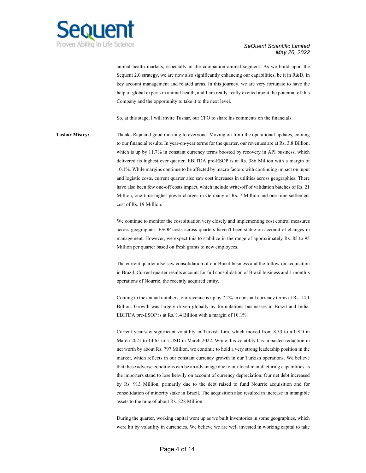

animal health markets, especially in the companion animal segment. As we build upon the Sequent 2.0 strategy, we are now also significantly enhancing our capabilities, be it in R&D, in key account management and related areas. In this journey, we are very fortunate to have the help of global experts in animal health, and I am really-really excited about the potential of this Company and the opportunity to take it to the next level.

So, at this stage, I will invite Tushar, our CFO to share his comments on the financials.

**Tushar Mistry:** Thanks Raja and good morning to everyone. Moving on from the operational updates, coming to our financial results. In year-on-year terms for the quarter, our revenues are at Rs. 3.8 Billion, which is up by 11.7% in constant currency terms boosted by recovery in API business, which delivered its highest ever quarter. EBITDA pre-ESOP is at Rs. 386 Million with a margin of 10.1%. While margins continue to be affected by macro factors with continuing impact on input and logistic costs, current quarter also saw cost increases in utilities across geographies. There have also been few one-off costs impact, which include write-off of validation batches of Rs. 21 Million, one-time higher power charges in Germany of Rs. 7 Million and one-time settlement cost of Rs. 19 Million.

> We continue to monitor the cost situation very closely and implementing cost control measures across geographies. ESOP costs across quarters haven't been stable on account of changes in management. However, we expect this to stabilize in the range of approximately Rs. 85 to 95 Million per quarter based on fresh grants to new employees.

> The current quarter also saw consolidation of our Brazil business and the follow-on acquisition in Brazil. Current quarter results account for full consolidation of Brazil business and 1 month's operations of Nourrie, the recently acquired entity.

> Coming to the annual numbers, our revenue is up by 7.2% in constant currency terms at Rs. 14.1 Billion. Growth was largely driven globally by formulations businesses in Brazil and India. EBITDA pre-ESOP is at Rs. 1.4 Billion with a margin of 10.1%.

> Current year saw significant volatility in Turkish Lira, which moved from 8.33 to a USD in March 2021 to 14.65 to a USD in March 2022. While this volatility has impacted reduction in net worth by about Rs. 797 Million, we continue to hold a very strong leadership position in the market, which reflects in our constant currency growth in our Turkish operations. We believe that these adverse conditions can be an advantage due to our local manufacturing capabilities as the importers stand to lose heavily on account of currency depreciation. Our net debt increased by Rs. 913 Million, primarily due to the debt raised to fund Nourrie acquisition and for consolidation of minority stake in Brazil. The acquisition also resulted in increase in intangible assets to the tune of about Rs. 228 Million.

> During the quarter, working capital went up as we built inventories in some geographies, which were hit by volatility in currencies. We believe we are well invested in working capital to take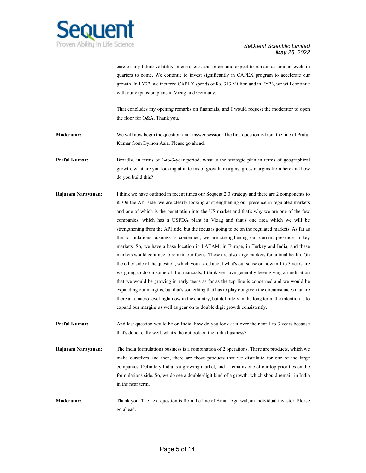

care of any future volatility in currencies and prices and expect to remain at similar levels in quarters to come. We continue to invest significantly in CAPEX program to accelerate our growth. In FY22, we incurred CAPEX spends of Rs. 313 Million and in FY23, we will continue with our expansion plans in Vizag and Germany.

That concludes my opening remarks on financials, and I would request the moderator to open the floor for Q&A. Thank you.

**Moderator:** We will now begin the question-and-answer session. The first question is from the line of Praful Kumar from Dymon Asia. Please go ahead.

**Praful Kumar:** Broadly, in terms of 1-to-3-year period, what is the strategic plan in terms of geographical growth, what are you looking at in terms of growth, margins, gross margins from here and how do you build this?

- **Rajaram Narayanan:** I think we have outlined in recent times our Sequent 2.0 strategy and there are 2 components to it. On the API side, we are clearly looking at strengthening our presence in regulated markets and one of which is the penetration into the US market and that's why we are one of the few companies, which has a USFDA plant in Vizag and that's one area which we will be strengthening from the API side, but the focus is going to be on the regulated markets. As far as the formulations business is concerned, we are strengthening our current presence in key markets. So, we have a base location in LATAM, in Europe, in Turkey and India, and these markets would continue to remain our focus. These are also large markets for animal health. On the other side of the question, which you asked about what's our sense on how in 1 to 3 years are we going to do on some of the financials, I think we have generally been giving an indication that we would be growing in early teens as far as the top line is concerned and we would be expanding our margins, but that's something that has to play out given the circumstances that are there at a macro level right now in the country, but definitely in the long term, the intention is to expand our margins as well as gear on to double digit growth consistently.
- **Praful Kumar:** And last question would be on India, how do you look at it over the next 1 to 3 years because that's done really well, what's the outlook on the India business?
- **Rajaram Narayanan:** The India formulations business is a combination of 2 operations. There are products, which we make ourselves and then, there are those products that we distribute for one of the large companies. Definitely India is a growing market, and it remains one of our top priorities on the formulations side. So, we do see a double-digit kind of a growth, which should remain in India in the near term.

**Moderator:** Thank you. The next question is from the line of Aman Agarwal, an individual investor. Please go ahead.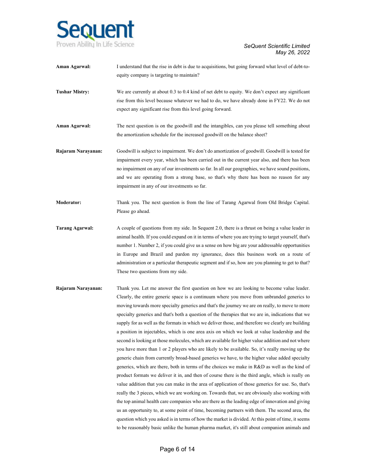

| Aman Agarwal:          | I understand that the rise in debt is due to acquisitions, but going forward what level of debt-to-<br>equity company is targeting to maintain?                                                                                                                                                                                                                                                                                                                                                                                                                                                                                                                                                                                                                                                                                                                                                                                                                                                                     |
|------------------------|---------------------------------------------------------------------------------------------------------------------------------------------------------------------------------------------------------------------------------------------------------------------------------------------------------------------------------------------------------------------------------------------------------------------------------------------------------------------------------------------------------------------------------------------------------------------------------------------------------------------------------------------------------------------------------------------------------------------------------------------------------------------------------------------------------------------------------------------------------------------------------------------------------------------------------------------------------------------------------------------------------------------|
| <b>Tushar Mistry:</b>  | We are currently at about 0.3 to 0.4 kind of net debt to equity. We don't expect any significant<br>rise from this level because whatever we had to do, we have already done in FY22. We do not<br>expect any significant rise from this level going forward.                                                                                                                                                                                                                                                                                                                                                                                                                                                                                                                                                                                                                                                                                                                                                       |
| Aman Agarwal:          | The next question is on the goodwill and the intangibles, can you please tell something about<br>the amortization schedule for the increased goodwill on the balance sheet?                                                                                                                                                                                                                                                                                                                                                                                                                                                                                                                                                                                                                                                                                                                                                                                                                                         |
| Rajaram Narayanan:     | Goodwill is subject to impairment. We don't do amortization of goodwill. Goodwill is tested for<br>impairment every year, which has been carried out in the current year also, and there has been<br>no impairment on any of our investments so far. In all our geographies, we have sound positions,<br>and we are operating from a strong base, so that's why there has been no reason for any<br>impairment in any of our investments so far.                                                                                                                                                                                                                                                                                                                                                                                                                                                                                                                                                                    |
| <b>Moderator:</b>      | Thank you. The next question is from the line of Tarang Agarwal from Old Bridge Capital.<br>Please go ahead.                                                                                                                                                                                                                                                                                                                                                                                                                                                                                                                                                                                                                                                                                                                                                                                                                                                                                                        |
| <b>Tarang Agarwal:</b> | A couple of questions from my side. In Sequent 2.0, there is a thrust on being a value leader in<br>animal health. If you could expand on it in terms of where you are trying to target yourself, that's<br>number 1. Number 2, if you could give us a sense on how big are your addressable opportunities<br>in Europe and Brazil and pardon my ignorance, does this business work on a route of<br>administration or a particular therapeutic segment and if so, how are you planning to get to that?<br>These two questions from my side.                                                                                                                                                                                                                                                                                                                                                                                                                                                                        |
| Rajaram Narayanan:     | Thank you. Let me answer the first question on how we are looking to become value leader.<br>Clearly, the entire generic space is a continuum where you move from unbranded generics to<br>moving towards more specialty generics and that's the journey we are on really, to move to more<br>specialty generics and that's both a question of the therapies that we are in, indications that we<br>supply for as well as the formats in which we deliver those, and therefore we clearly are building<br>a position in injectables, which is one area axis on which we look at value leadership and the<br>second is looking at those molecules, which are available for higher value addition and not where<br>you have more than 1 or 2 players who are likely to be available. So, it's really moving up the<br>generic chain from currently broad-based generics we have, to the higher value added specialty<br>generics, which are there, both in terms of the choices we make in R&D as well as the kind of |

product formats we deliver it in, and then of course there is the third angle, which is really on value addition that you can make in the area of application of those generics for use. So, that's really the 3 pieces, which we are working on. Towards that, we are obviously also working with the top animal health care companies who are there as the leading edge of innovation and giving us an opportunity to, at some point of time, becoming partners with them. The second area, the question which you asked is in terms of how the market is divided. At this point of time, it seems to be reasonably basic unlike the human pharma market, it's still about companion animals and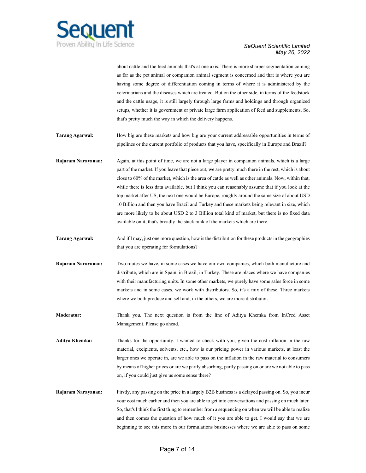

about cattle and the feed animals that's at one axis. There is more sharper segmentation coming as far as the pet animal or companion animal segment is concerned and that is where you are having some degree of differentiation coming in terms of where it is administered by the veterinarians and the diseases which are treated. But on the other side, in terms of the feedstock and the cattle usage, it is still largely through large farms and holdings and through organized setups, whether it is government or private large farm application of feed and supplements. So, that's pretty much the way in which the delivery happens.

- **Tarang Agarwal:** How big are these markets and how big are your current addressable opportunities in terms of pipelines or the current portfolio of products that you have, specifically in Europe and Brazil?
- **Rajaram Narayanan:** Again, at this point of time, we are not a large player in companion animals, which is a large part of the market. If you leave that piece out, we are pretty much there in the rest, which is about close to 60% of the market, which is the area of cattle as well as other animals. Now, within that, while there is less data available, but I think you can reasonably assume that if you look at the top market after US, the next one would be Europe, roughly around the same size of about USD 10 Billion and then you have Brazil and Turkey and these markets being relevant in size, which are more likely to be about USD 2 to 3 Billion total kind of market, but there is no fixed data available on it, that's broadly the stack rank of the markets which are there.
- **Tarang Agarwal:** And if I may, just one more question, how is the distribution for these products in the geographies that you are operating for formulations?
- **Rajaram Narayanan:** Two routes we have, in some cases we have our own companies, which both manufacture and distribute, which are in Spain, in Brazil, in Turkey. These are places where we have companies with their manufacturing units. In some other markets, we purely have some sales force in some markets and in some cases, we work with distributors. So, it's a mix of these. Three markets where we both produce and sell and, in the others, we are more distributor.
- **Moderator:** Thank you. The next question is from the line of Aditya Khemka from InCred Asset Management. Please go ahead.
- **Aditya Khemka:** Thanks for the opportunity. I wanted to check with you, given the cost inflation in the raw material, excipients, solvents, etc., how is our pricing power in various markets, at least the larger ones we operate in, are we able to pass on the inflation in the raw material to consumers by means of higher prices or are we partly absorbing, partly passing on or are we not able to pass on, if you could just give us some sense there?
- **Rajaram Narayanan:** Firstly, any passing on the price in a largely B2B business is a delayed passing on. So, you incur your cost much earlier and then you are able to get into conversations and passing on much later. So, that's I think the first thing to remember from a sequencing on when we will be able to realize and then comes the question of how much of it you are able to get. I would say that we are beginning to see this more in our formulations businesses where we are able to pass on some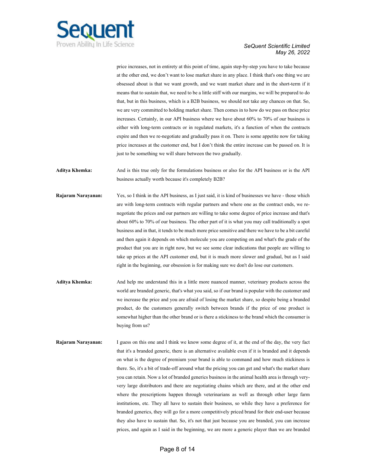

price increases, not in entirety at this point of time, again step-by-step you have to take because at the other end, we don't want to lose market share in any place. I think that's one thing we are obsessed about is that we want growth, and we want market share and in the short-term if it means that to sustain that, we need to be a little stiff with our margins, we will be prepared to do that, but in this business, which is a B2B business, we should not take any chances on that. So, we are very committed to holding market share. Then comes in to how do we pass on these price increases. Certainly, in our API business where we have about 60% to 70% of our business is either with long-term contracts or in regulated markets, it's a function of when the contracts expire and then we re-negotiate and gradually pass it on. There is some appetite now for taking price increases at the customer end, but I don't think the entire increase can be passed on. It is just to be something we will share between the two gradually.

**Aditya Khemka:** And is this true only for the formulations business or also for the API business or is the API business actually worth because it's completely B2B?

- **Rajaram Narayanan:** Yes, so I think in the API business, as I just said, it is kind of businesses we have those which are with long-term contracts with regular partners and where one as the contract ends, we renegotiate the prices and our partners are willing to take some degree of price increase and that's about 60% to 70% of our business. The other part of it is what you may call traditionally a spot business and in that, it tends to be much more price sensitive and there we have to be a bit careful and then again it depends on which molecule you are competing on and what's the grade of the product that you are in right now, but we see some clear indications that people are willing to take up prices at the API customer end, but it is much more slower and gradual, but as I said right in the beginning, our obsession is for making sure we don't do lose our customers.
- **Aditya Khemka:** And help me understand this in a little more nuanced manner, veterinary products across the world are branded generic, that's what you said, so if our brand is popular with the customer and we increase the price and you are afraid of losing the market share, so despite being a branded product, do the customers generally switch between brands if the price of one product is somewhat higher than the other brand or is there a stickiness to the brand which the consumer is buying from us?
- **Rajaram Narayanan:** I guess on this one and I think we know some degree of it, at the end of the day, the very fact that it's a branded generic, there is an alternative available even if it is branded and it depends on what is the degree of premium your brand is able to command and how much stickiness is there. So, it's a bit of trade-off around what the pricing you can get and what's the market share you can retain. Now a lot of branded generics business in the animal health area is through veryvery large distributors and there are negotiating chains which are there, and at the other end where the prescriptions happen through veterinarians as well as through other large farm institutions, etc. They all have to sustain their business, so while they have a preference for branded generics, they will go for a more competitively priced brand for their end-user because they also have to sustain that. So, it's not that just because you are branded, you can increase prices, and again as I said in the beginning, we are more a generic player than we are branded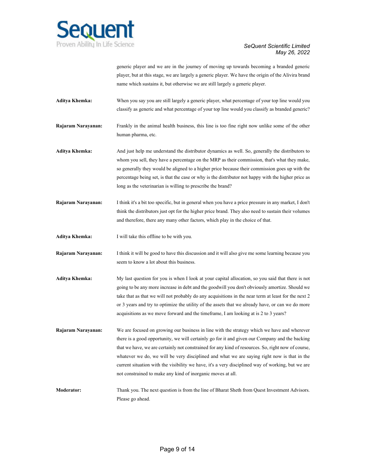

generic player and we are in the journey of moving up towards becoming a branded generic player, but at this stage, we are largely a generic player. We have the origin of the Alivira brand name which sustains it, but otherwise we are still largely a generic player.

- **Aditya Khemka:** When you say you are still largely a generic player, what percentage of your top line would you classify as generic and what percentage of your top line would you classify as branded generic?
- **Rajaram Narayanan:** Frankly in the animal health business, this line is too fine right now unlike some of the other human pharma, etc.
- **Aditya Khemka:** And just help me understand the distributor dynamics as well. So, generally the distributors to whom you sell, they have a percentage on the MRP as their commission, that's what they make, so generally they would be aligned to a higher price because their commission goes up with the percentage being set, is that the case or why is the distributor not happy with the higher price as long as the veterinarian is willing to prescribe the brand?
- **Rajaram Narayanan:** I think it's a bit too specific, but in general when you have a price pressure in any market, I don't think the distributors just opt for the higher price brand. They also need to sustain their volumes and therefore, there any many other factors, which play in the choice of that.
- **Aditya Khemka:** I will take this offline to be with you.
- **Rajaram Narayanan:** I think it will be good to have this discussion and it will also give me some learning because you seem to know a lot about this business.
- **Aditya Khemka:** My last question for you is when I look at your capital allocation, so you said that there is not going to be any more increase in debt and the goodwill you don't obviously amortize. Should we take that as that we will not probably do any acquisitions in the near term at least for the next 2 or 3 years and try to optimize the utility of the assets that we already have, or can we do more acquisitions as we move forward and the timeframe, I am looking at is 2 to 3 years?
- **Rajaram Narayanan:** We are focused on growing our business in line with the strategy which we have and wherever there is a good opportunity, we will certainly go for it and given our Company and the backing that we have, we are certainly not constrained for any kind of resources. So, right now of course, whatever we do, we will be very disciplined and what we are saying right now is that in the current situation with the visibility we have, it's a very disciplined way of working, but we are not constrained to make any kind of inorganic moves at all.
- **Moderator:** Thank you. The next question is from the line of Bharat Sheth from Quest Investment Advisors. Please go ahead.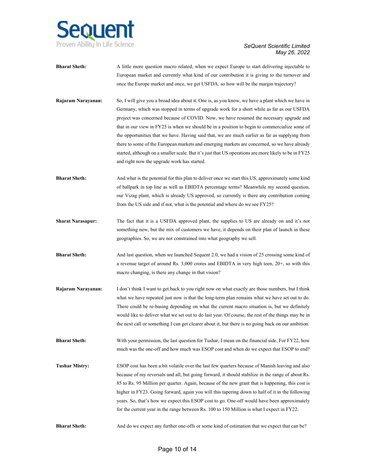

|                          | European market and currently what kind of our contribution it is giving to the turnover and<br>once the Europe market and once, we get USFDA, so how will be the margin trajectory?                                                                                                                                                                                                                                                                                                                                                                                                                                                                                                                                                              |
|--------------------------|---------------------------------------------------------------------------------------------------------------------------------------------------------------------------------------------------------------------------------------------------------------------------------------------------------------------------------------------------------------------------------------------------------------------------------------------------------------------------------------------------------------------------------------------------------------------------------------------------------------------------------------------------------------------------------------------------------------------------------------------------|
| Rajaram Narayanan:       | So, I will give you a broad idea about it. One is, as you know, we have a plant which we have in<br>Germany, which was stopped in terms of upgrade work for a short while as far as our USFDA<br>project was concerned because of COVID. Now, we have resumed the necessary upgrade and<br>that in our view in FY25 is when we should be in a position to begin to commercialize some of<br>the opportunities that we have. Having said that, we are much earlier as far as supplying from<br>there to some of the European markets and emerging markets are concerned, so we have already<br>started, although on a smaller scale. But it's just that US operations are more likely to be in FY25<br>and right now the upgrade work has started. |
| <b>Bharat Sheth:</b>     | And what is the potential for this plan to deliver once we start this US, approximately some kind<br>of ballpark in top line as well as EBIDTA percentage terms? Meanwhile my second question,<br>our Vizag plant, which is already US approved, so currently is there any contribution coming<br>from the US side and if not, what is the potential and where do we see FY25?                                                                                                                                                                                                                                                                                                                                                                    |
| <b>Sharat Narasapur:</b> | The fact that it is a USFDA approved plant, the supplies to US are already on and it's not<br>something new, but the mix of customers we have, it depends on their plan of launch in these<br>geographies. So, we are not constrained into what geography we sell.                                                                                                                                                                                                                                                                                                                                                                                                                                                                                |
| <b>Bharat Sheth:</b>     | And last question, when we launched Sequent 2.0, we had a vision of 25 crossing some kind of<br>a revenue target of around Rs. 3,000 crores and EBIDTA in very high teen, 20+, so with this<br>macro changing, is there any change in that vision?                                                                                                                                                                                                                                                                                                                                                                                                                                                                                                |
| Rajaram Narayanan:       | I don't think I want to get back to you right now on what exactly are those numbers, but I think<br>what we have repeated just now is that the long-term plan remains what we have set out to do.<br>There could be re-basing depending on what the current macro situation is, but we definitely<br>would like to deliver what we set out to do last year. Of course, the rest of the things may be in<br>the next call or something I can get clearer about it, but there is no going back on our ambition.                                                                                                                                                                                                                                     |
| <b>Bharat Sheth:</b>     | With your permission, the last question for Tushar, I mean on the financial side. For FY22, how<br>much was the one-off and how much was ESOP cost and when do we expect that ESOP to end?                                                                                                                                                                                                                                                                                                                                                                                                                                                                                                                                                        |
| <b>Tushar Mistry:</b>    | ESOP cost has been a bit volatile over the last few quarters because of Manish leaving and also<br>because of my reversals and all, but going forward, it should stabilize in the range of about Rs.<br>85 to Rs. 95 Million per quarter. Again, because of the new grant that is happening, this cost is<br>higher in FY23. Going forward, again you will this tapering down to half of it in the following<br>years. So, that's how we expect this ESOP cost to go. One-off would have been approximately<br>for the current year in the range between Rs. 100 to 150 Million is what I expect in FY22.                                                                                                                                         |
| <b>Bharat Sheth:</b>     | And do we expect any further one-offs or some kind of estimation that we expect that can be?                                                                                                                                                                                                                                                                                                                                                                                                                                                                                                                                                                                                                                                      |

**Bharat Sheth:** A little more question macro related, when we expect Europe to start delivering injectable to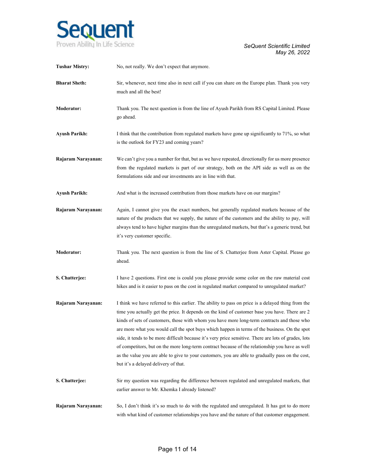

| <b>Tushar Mistry:</b> | No, not really. We don't expect that anymore.                                                                                                                                                                                                                                                                                                                                                                                                                                                                                                                                                                                                                                                                                                                |
|-----------------------|--------------------------------------------------------------------------------------------------------------------------------------------------------------------------------------------------------------------------------------------------------------------------------------------------------------------------------------------------------------------------------------------------------------------------------------------------------------------------------------------------------------------------------------------------------------------------------------------------------------------------------------------------------------------------------------------------------------------------------------------------------------|
| <b>Bharat Sheth:</b>  | Sir, whenever, next time also in next call if you can share on the Europe plan. Thank you very<br>much and all the best!                                                                                                                                                                                                                                                                                                                                                                                                                                                                                                                                                                                                                                     |
| <b>Moderator:</b>     | Thank you. The next question is from the line of Ayush Parikh from RS Capital Limited. Please<br>go ahead.                                                                                                                                                                                                                                                                                                                                                                                                                                                                                                                                                                                                                                                   |
| <b>Ayush Parikh:</b>  | I think that the contribution from regulated markets have gone up significantly to 71%, so what<br>is the outlook for FY23 and coming years?                                                                                                                                                                                                                                                                                                                                                                                                                                                                                                                                                                                                                 |
| Rajaram Narayanan:    | We can't give you a number for that, but as we have repeated, directionally for us more presence<br>from the regulated markets is part of our strategy, both on the API side as well as on the<br>formulations side and our investments are in line with that.                                                                                                                                                                                                                                                                                                                                                                                                                                                                                               |
| <b>Ayush Parikh:</b>  | And what is the increased contribution from those markets have on our margins?                                                                                                                                                                                                                                                                                                                                                                                                                                                                                                                                                                                                                                                                               |
| Rajaram Narayanan:    | Again, I cannot give you the exact numbers, but generally regulated markets because of the<br>nature of the products that we supply, the nature of the customers and the ability to pay, will<br>always tend to have higher margins than the unregulated markets, but that's a generic trend, but<br>it's very customer specific.                                                                                                                                                                                                                                                                                                                                                                                                                            |
| Moderator:            | Thank you. The next question is from the line of S. Chatterjee from Aster Capital. Please go<br>ahead.                                                                                                                                                                                                                                                                                                                                                                                                                                                                                                                                                                                                                                                       |
| S. Chatterjee:        | I have 2 questions. First one is could you please provide some color on the raw material cost<br>hikes and is it easier to pass on the cost in regulated market compared to unregulated market?                                                                                                                                                                                                                                                                                                                                                                                                                                                                                                                                                              |
| Rajaram Narayanan:    | I think we have referred to this earlier. The ability to pass on price is a delayed thing from the<br>time you actually get the price. It depends on the kind of customer base you have. There are 2<br>kinds of sets of customers, those with whom you have more long-term contracts and those who<br>are more what you would call the spot buys which happen in terms of the business. On the spot<br>side, it tends to be more difficult because it's very price sensitive. There are lots of grades, lots<br>of competitors, but on the more long-term contract because of the relationship you have as well<br>as the value you are able to give to your customers, you are able to gradually pass on the cost,<br>but it's a delayed delivery of that. |
| S. Chatterjee:        | Sir my question was regarding the difference between regulated and unregulated markets, that<br>earlier answer to Mr. Khemka I already listened?                                                                                                                                                                                                                                                                                                                                                                                                                                                                                                                                                                                                             |
| Rajaram Narayanan:    | So, I don't think it's so much to do with the regulated and unregulated. It has got to do more<br>with what kind of customer relationships you have and the nature of that customer engagement.                                                                                                                                                                                                                                                                                                                                                                                                                                                                                                                                                              |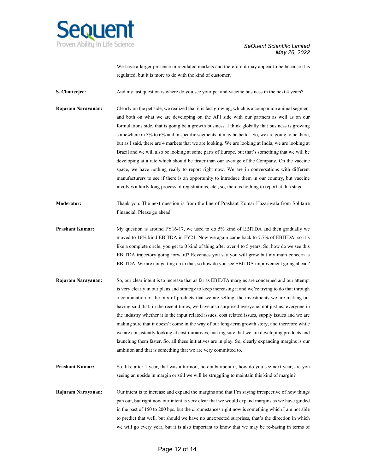

We have a larger presence in regulated markets and therefore it may appear to be because it is regulated, but it is more to do with the kind of customer.

**S. Chatterjee:** And my last question is where do you see your pet and vaccine business in the next 4 years?

- **Rajaram Narayanan:** Clearly on the pet side, we realized that it is fast growing, which is a companion animal segment and both on what we are developing on the API side with our partners as well as on our formulations side, that is going be a growth business. I think globally that business is growing somewhere in 5% to 6% and in specific segments, it may be better. So, we are going to be there, but as I said, there are 4 markets that we are looking. We are looking at India, we are looking at Brazil and we will also be looking at some parts of Europe, but that's something that we will be developing at a rate which should be faster than our average of the Company. On the vaccine space, we have nothing really to report right now. We are in conversations with different manufacturers to see if there is an opportunity to introduce them in our country, but vaccine involves a fairly long process of registrations, etc., so, there is nothing to report at this stage.
- **Moderator:** Thank you. The next question is from the line of Prashant Kumar Hazariwala from Solitaire Financial. Please go ahead.
- **Prashant Kumar:** My question is around FY16-17, we used to do 5% kind of EBITDA and then gradually we moved to 16% kind EBITDA in FY21. Now we again came back to 7.7% of EBITDA, so it's like a complete circle, you get to 0 kind of thing after over 4 to 5 years. So, how do we see this EBITDA trajectory going forward? Revenues you say you will grow but my main concern is EBITDA. We are not getting on to that, so how do you see EBITDA improvement going ahead?
- **Rajaram Narayanan:** So, our clear intent is to increase that as far as EBIDTA margins are concerned and our attempt is very clearly in our plans and strategy to keep increasing it and we're trying to do that through a combination of the mix of products that we are selling, the investments we are making but having said that, in the recent times, we have also surprised everyone, not just us, everyone in the industry whether it is the input related issues, cost related issues, supply issues and we are making sure that it doesn't come in the way of our long-term growth story, and therefore while we are consistently looking at cost initiatives, making sure that we are developing products and launching them faster. So, all these initiatives are in play. So, clearly expanding margins is our ambition and that is something that we are very committed to.
- **Prashant Kumar:** So, like after 1 year, that was a turmoil, no doubt about it, how do you see next year, are you seeing an upside in margin or still we will be struggling to maintain this kind of margin?
- **Rajaram Narayanan:** Our intent is to increase and expand the margins and that I'm saying irrespective of how things pan out, but right now our intent is very clear that we would expand margins as we have guided in the past of 150 to 200 bps, but the circumstances right now is something which I am not able to predict that well, but should we have no unexpected surprises, that's the direction in which we will go every year, but it is also important to know that we may be re-basing in terms of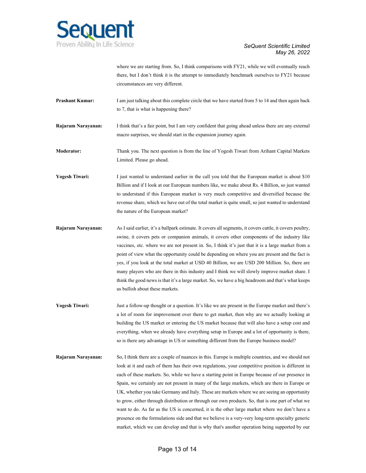

where we are starting from. So, I think comparisons with FY21, while we will eventually reach there, but I don't think it is the attempt to immediately benchmark ourselves to FY21 because circumstances are very different.

**Prashant Kumar:** I am just talking about this complete circle that we have started from 5 to 14 and then again back to 7, that is what is happening there?

**Rajaram Narayanan:** I think that's a fair point, but I am very confident that going ahead unless there are any external macro surprises, we should start in the expansion journey again.

**Moderator:** Thank you. The next question is from the line of Yogesh Tiwari from Arihant Capital Markets Limited. Please go ahead.

**Yogesh Tiwari:** I just wanted to understand earlier in the call you told that the European market is about \$10 Billion and if I look at our European numbers like, we make about Rs. 4 Billion, so just wanted to understand if this European market is very much competitive and diversified because the revenue share, which we have out of the total market is quite small, so just wanted to understand the nature of the European market?

**Rajaram Narayanan:** As I said earlier, it's a ballpark estimate. It covers all segments, it covers cattle, it covers poultry, swine, it covers pets or companion animals, it covers other components of the industry like vaccines, etc. where we are not present in. So, I think it's just that it is a large market from a point of view what the opportunity could be depending on where you are present and the fact is yes, if you look at the total market at USD 40 Billion, we are USD 200 Million. So, there are many players who are there in this industry and I think we will slowly improve market share. I think the good news is that it's a large market. So, we have a big headroom and that's what keeps us bullish about these markets.

- **Yogesh Tiwari:** Just a follow-up thought or a question. It's like we are present in the Europe market and there's a lot of room for improvement over there to get market, then why are we actually looking at building the US market or entering the US market because that will also have a setup cost and everything, when we already have everything setup in Europe and a lot of opportunity is there, so is there any advantage in US or something different from the Europe business model?
- **Rajaram Narayanan:** So, I think there are a couple of nuances in this. Europe is multiple countries, and we should not look at it and each of them has their own regulations, your competitive position is different in each of these markets. So, while we have a starting point in Europe because of our presence in Spain, we certainly are not present in many of the large markets, which are there in Europe or UK, whether you take Germany and Italy. These are markets where we are seeing an opportunity to grow, either through distribution or through our own products. So, that is one part of what we want to do. As far as the US is concerned, it is the other large market where we don't have a presence on the formulations side and that we believe is a very-very long-term specialty generic market, which we can develop and that is why that's another operation being supported by our